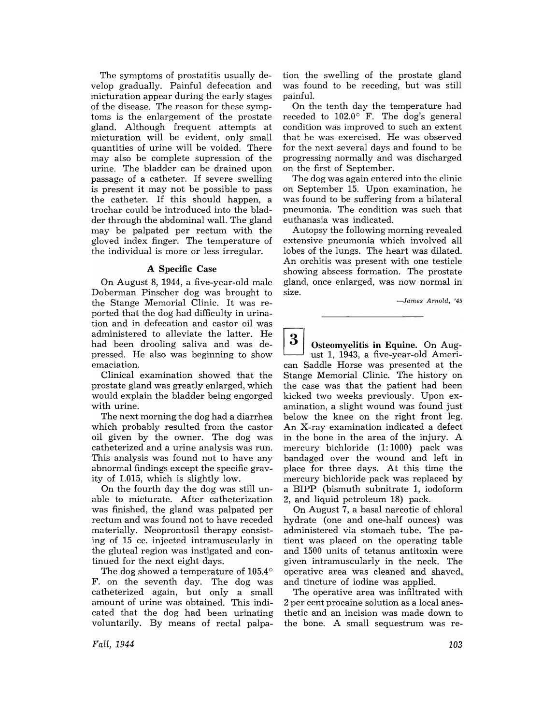The symptoms of prostatitis usually develop gradually. Painful defecation and micturation appear during the early stages of the disease. The reason for these symptoms is the enlargement of the prostate gland. Although frequent attempts at micturation will be evident, only small quantities of urine will be voided. There may also be complete supression of the urine. The bladder can be drained upon passage of a catheter. If severe swelling is present it may not be possible to pass the catheter. If this should happen, a trochar could be introduced into the bladder through the abdominal wall. The gland may be palpated per rectum with the gloved index finger. The temperature of the individual is more or less irregular.

## A Specific Case

On August 8, 1944, a five-year-old male Doberman Pinscher dog was brought to the Stange Memorial Clinic. It was reported that the dog had difficulty in urination and in defecation and castor oil was administered to alleviate the latter. He had been drooling saliva and was depressed. He also was beginning to show emacia tion.

Clinical examination showed that the prostate gland was greatly enlarged, which would explain the bladder being engorged with urine.

The next morning the dog had a diarrhea which probably resulted from the castor oil given by the owner. The dog was catheterized and a urine analysis was run. This analysis was found not to have any abnormal findings except the specific gravity of 1.015, which is slightly low.

On the fourth day the dog was still unable to micturate. After catheterization was finished, the gland was palpated per rectum and was found not to have receded materially. Neoprontosil therapy consisting of 15 cc. injected intramuscularly in the gluteal region was instigated and continued for the next eight days.

The dog showed a temperature of  $105.4^{\circ}$ F. on the seventh day. The dog was catheterized again, but only a small amount of urine was obtained. This indicated that the dog had been urinating voluntarily. By means of rectal palpa-

tion the swelling of the prostate gland was found to be receding, but was still painful.

On the tenth day the temperature had receded to 102.0° F. The dog's general condition was improved to such an extent that he was exercised. He was observed for the next several days and found to be progressing normally and was discharged on the first of September.

The dog was again entered into the clinic on September 15. Upon examination, he was found to be suffering from a bilateral pneumonia. The condition was such that eu thanasia was indicated.

Autopsy the following morning revealed extensive pneumonia which involved all lobes of the lungs. The heart was dilated. An orchitis was present with one testicle showing abscess formation. The prostate gland, once enlarged, was now normal in size.

-James Arnold, '45

 $\begin{array}{c} {\bf 3} \end{array} ~ \begin{array}{c} {\bf 3} \end{array} ~ \begin{array}{c} {\bf 0} \end{array} ~ \begin{array}{c} {\bf 1} \end{array} ~ \begin{array}{c} {\bf 1} \end{array} ~ \begin{array}{c} {\bf 1} \end{array} ~ \begin{array}{c} {\bf 1} \end{array} ~ \begin{array}{c} {\bf 2} \end{array} ~ \begin{array}{c} {\bf 3} \end{array} ~ \begin{array}{c} {\bf 2} \end{array} ~ \begin{array}{c} {\bf 3} \end{array} ~ \begin{array}{c} {\bf 4} \end{array} ~ \begin{array$ can Saddle Horse was presented at the Stange Memorial Clinic. The history on the case was that the patient had been kicked two weeks previously. Upon examination, a slight wound was found just below the knee on the right front leg. An X-ray examination indicated a defect in the bone in the area of the injury. A mercury bichloride (1: 1000) pack was bandaged over the wound and left in place for three days. At this time the mercury bichloride pack was replaced by a BIPP (bismuth subnitrate 1, iodoform 2, and liquid petroleum 18) pack.

On August 7, a basal narcotic of chloral hydrate (one and one-half ounces) was administered via stomach tube. The patient was placed on the operating table and 1500 units of tetanus antitoxin were given intramuscularly in the neck. The operative area was cleaned and shaved, and tincture of iodine was applied.

The operative area was infiltrated with 2 per cent procaine solution as a local anesthetic and an incision was made down to the bone. A small sequestrum was re